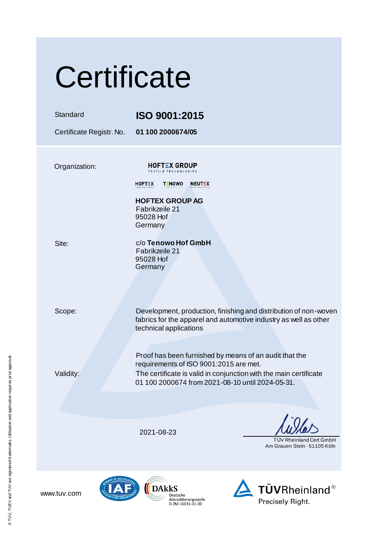| Certificate              |                                                                                                                                                                                                                           |                                                         |  |  |  |
|--------------------------|---------------------------------------------------------------------------------------------------------------------------------------------------------------------------------------------------------------------------|---------------------------------------------------------|--|--|--|
| Standard                 | ISO 9001:2015                                                                                                                                                                                                             |                                                         |  |  |  |
| Certificate Registr. No. | 01 100 2000674/05                                                                                                                                                                                                         |                                                         |  |  |  |
| Organization:            | <b>HOFTEX GROUP</b><br><b>TEXTILE TECHNOLOGIES</b><br><b>TENOWO</b><br><b>NEUTEX</b><br><b>HOFTEX</b><br><b>HOFTEX GROUP AG</b><br>Fabrikzeile 21<br>95028 Hof<br>Germany                                                 |                                                         |  |  |  |
| Site:                    | c/o Tenowo Hof GmbH<br>Fabrikzeile 21<br>95028 Hof<br>Germany                                                                                                                                                             |                                                         |  |  |  |
| Scope:                   | Development, production, finishing and distribution of non-woven<br>fabrics for the apparel and automotive industry as well as other<br>technical applications                                                            |                                                         |  |  |  |
| Validity:                | Proof has been furnished by means of an audit that the<br>requirements of ISO 9001:2015 are met.<br>The certificate is valid in conjunction with the main certificate<br>01 100 2000674 from 2021-08-10 until 2024-05-31. |                                                         |  |  |  |
|                          |                                                                                                                                                                                                                           |                                                         |  |  |  |
|                          | 2021-08-23                                                                                                                                                                                                                | TÜV Rheinland Cert GmbH<br>Am Grauen Stein - 51105 Köln |  |  |  |
|                          |                                                                                                                                                                                                                           |                                                         |  |  |  |